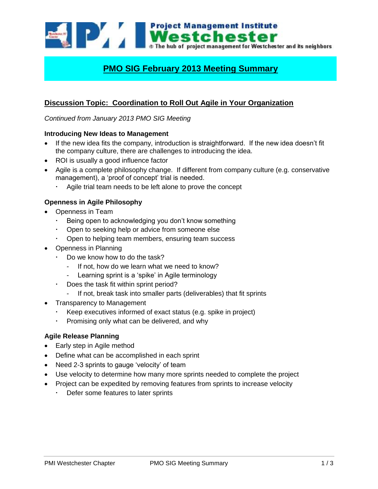**Project Management Institute** Westchester The hub of project management for Westchester and its neighbors

# **PMO SIG February 2013 Meeting Summary**

# **Discussion Topic: Coordination to Roll Out Agile in Your Organization**

*Continued from January 2013 PMO SIG Meeting*

#### **Introducing New Ideas to Management**

- If the new idea fits the company, introduction is straightforward. If the new idea doesn't fit the company culture, there are challenges to introducing the idea.
- ROI is usually a good influence factor
- Agile is a complete philosophy change. If different from company culture (e.g. conservative management), a 'proof of concept' trial is needed.
	- Agile trial team needs to be left alone to prove the concept

### **Openness in Agile Philosophy**

- Openness in Team
	- Being open to acknowledging you don't know something
	- Open to seeking help or advice from someone else
	- Open to helping team members, ensuring team success
- Openness in Planning
	- Do we know how to do the task?
		- If not, how do we learn what we need to know?
		- Learning sprint is a 'spike' in Agile terminology
	- Does the task fit within sprint period?
		- If not, break task into smaller parts (deliverables) that fit sprints
- Transparency to Management
	- Keep executives informed of exact status (e.g. spike in project)
	- Promising only what can be delivered, and why

#### **Agile Release Planning**

- Early step in Agile method
- Define what can be accomplished in each sprint
- Need 2-3 sprints to gauge 'velocity' of team
- Use velocity to determine how many more sprints needed to complete the project
- Project can be expedited by removing features from sprints to increase velocity
	- Defer some features to later sprints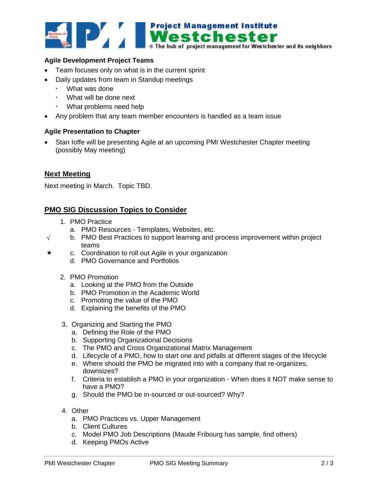

#### **Agile Development Project Teams**

- Team focuses only on what is in the current sprint
- Daily updates from team in Standup meetings
	- What was done
	- What will be done next
	- What problems need help
- Any problem that any team member encounters is handled as a team issue

#### **Agile Presentation to Chapter**

 Stan Ioffe will be presenting Agile at an upcoming PMI Westchester Chapter meeting (possibly May meeting)

#### **Next Meeting**

Next meeting in March. Topic TBD.

## **PMO SIG Discussion Topics to Consider**

- 1. PMO Practice
	- a. PMO Resources Templates, Websites, etc.
- $\sqrt{\phantom{a}}$  b. PMO Best Practices to support learning and process improvement within project teams
- $\star$  c. Coordination to roll out Agile in your organization
	- d. PMO Governance and Portfolios
	- 2. PMO Promotion
		- a. Looking at the PMO from the Outside
		- b. PMO Promotion in the Academic World
		- c. Promoting the value of the PMO
		- d. Explaining the benefits of the PMO
	- 3. Organizing and Starting the PMO
		- a. Defining the Role of the PMO
		- b. Supporting Organizational Decisions
		- c. The PMO and Cross Organizational Matrix Management
		- d. Lifecycle of a PMO, how to start one and pitfalls at different stages of the lifecycle
		- e. Where should the PMO be migrated into with a company that re-organizes, downsizes?
		- f. Criteria to establish a PMO in your organization When does it NOT make sense to have a PMO?
		- g. Should the PMO be in-sourced or out-sourced? Why?
	- 4. Other
		- a. PMO Practices vs. Upper Management
		- b. Client Cultures
		- c. Model PMO Job Descriptions (Maude Fribourg has sample, find others)
		- d. Keeping PMOs Active